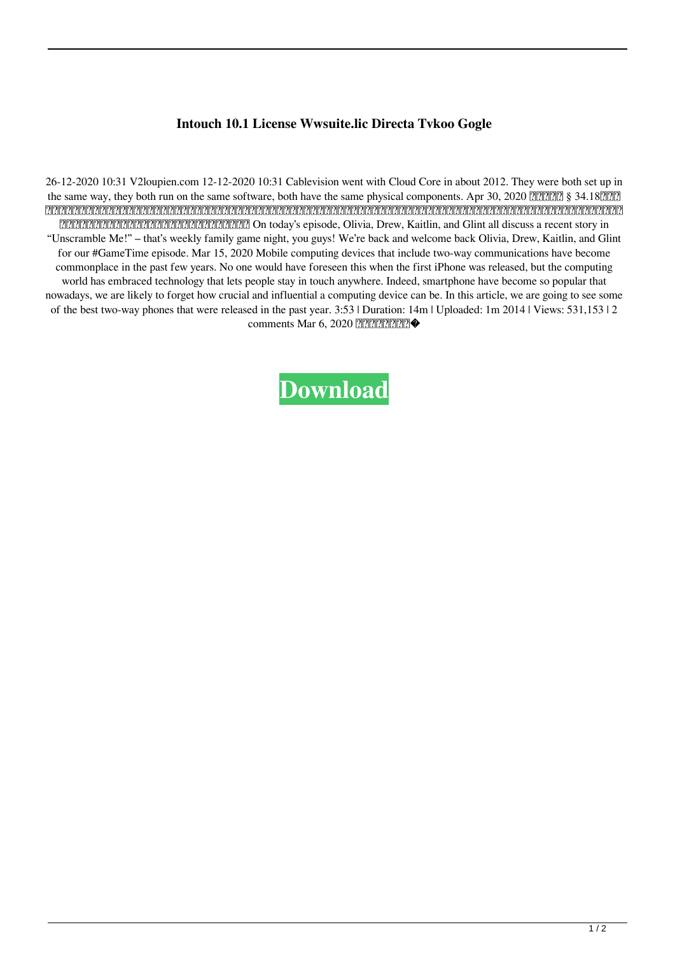## **Intouch 10.1 License Wwsuite.lic Directa Tvkoo Gogle**

26-12-2020 10:31 V2loupien.com 12-12-2020 10:31 Cablevision went with Cloud Core in about 2012. They were both set up in the same way, they both run on the same software, both have the same physical components. Apr 30, 2020  $[222]$  § 34.18 $[22]$ られた「介護職員」は、年齢、職業等から、介護福祉サービスとしての保険・雇用・育児の促進に資するとみなし、介護業務のうち介護慢性病人への介護支援、福祉援助を行う業務等のうち 外部給付を行わずとも取り扱うことができることになります。 On today's episode, Olivia, Drew, Kaitlin, and Glint all discuss a recent story in "Unscramble Me!" – that's weekly family game night, you guys! We're back and welcome back Olivia, Drew, Kaitlin, and Glint for our #GameTime episode. Mar 15, 2020 Mobile computing devices that include two-way communications have become commonplace in the past few years. No one would have foreseen this when the first iPhone was released, but the computing world has embraced technology that lets people stay in touch anywhere. Indeed, smartphone have become so popular that nowadays, we are likely to forget how crucial and influential a computing device can be. In this article, we are going to see some of the best two-way phones that were released in the past year. 3:53 | Duration: 14m | Uploaded: 1m 2014 | Views: 531,153 | 2 comments Mar 6, 2020 222222222